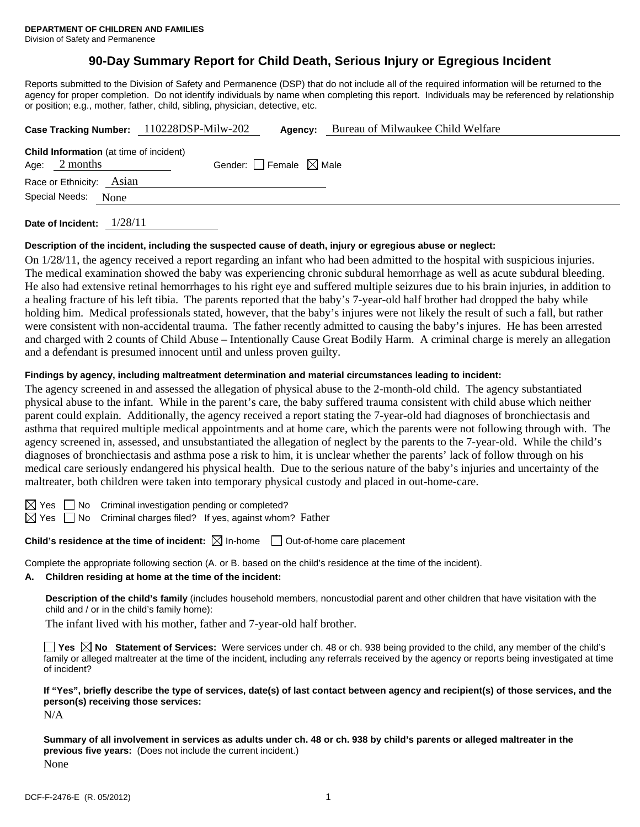# **90-Day Summary Report for Child Death, Serious Injury or Egregious Incident**

Reports submitted to the Division of Safety and Permanence (DSP) that do not include all of the required information will be returned to the agency for proper completion. Do not identify individuals by name when completing this report. Individuals may be referenced by relationship or position; e.g., mother, father, child, sibling, physician, detective, etc.

|                     |                                                                   | Case Tracking Number: 110228DSP-Milw-202 | Agency:                         | Bureau of Milwaukee Child Welfare |  |  |  |
|---------------------|-------------------------------------------------------------------|------------------------------------------|---------------------------------|-----------------------------------|--|--|--|
|                     | <b>Child Information</b> (at time of incident)<br>Age: $2$ months |                                          | Gender: Female $\boxtimes$ Male |                                   |  |  |  |
|                     | Race or Ethnicity: Asian                                          |                                          |                                 |                                   |  |  |  |
| Special Needs: None |                                                                   |                                          |                                 |                                   |  |  |  |
|                     |                                                                   |                                          |                                 |                                   |  |  |  |

**Date of Incident:** 1/28/11

### **Description of the incident, including the suspected cause of death, injury or egregious abuse or neglect:**

On 1/28/11, the agency received a report regarding an infant who had been admitted to the hospital with suspicious injuries. The medical examination showed the baby was experiencing chronic subdural hemorrhage as well as acute subdural bleeding. He also had extensive retinal hemorrhages to his right eye and suffered multiple seizures due to his brain injuries, in addition to a healing fracture of his left tibia. The parents reported that the baby's 7-year-old half brother had dropped the baby while holding him. Medical professionals stated, however, that the baby's injures were not likely the result of such a fall, but rather were consistent with non-accidental trauma. The father recently admitted to causing the baby's injures. He has been arrested and charged with 2 counts of Child Abuse – Intentionally Cause Great Bodily Harm. A criminal charge is merely an allegation and a defendant is presumed innocent until and unless proven guilty.

### **Findings by agency, including maltreatment determination and material circumstances leading to incident:**

The agency screened in and assessed the allegation of physical abuse to the 2-month-old child. The agency substantiated physical abuse to the infant. While in the parent's care, the baby suffered trauma consistent with child abuse which neither parent could explain. Additionally, the agency received a report stating the 7-year-old had diagnoses of bronchiectasis and asthma that required multiple medical appointments and at home care, which the parents were not following through with. The agency screened in, assessed, and unsubstantiated the allegation of neglect by the parents to the 7-year-old. While the child's diagnoses of bronchiectasis and asthma pose a risk to him, it is unclear whether the parents' lack of follow through on his medical care seriously endangered his physical health. Due to the serious nature of the baby's injuries and uncertainty of the maltreater, both children were taken into temporary physical custody and placed in out-home-care.

 $\boxtimes$  Yes  $\Box$  No Criminal investigation pending or completed?

 $\boxtimes$  Yes  $\Box$  No Criminal charges filed? If yes, against whom? Father

## **Child's residence at the time of incident:**  $\boxtimes$  In-home  $\Box$  Out-of-home care placement

Complete the appropriate following section (A. or B. based on the child's residence at the time of the incident).

# **A. Children residing at home at the time of the incident:**

**Description of the child's family** (includes household members, noncustodial parent and other children that have visitation with the child and / or in the child's family home):

The infant lived with his mother, father and 7-year-old half brother.

**Yes**  $\boxtimes$  **No** Statement of Services: Were services under ch. 48 or ch. 938 being provided to the child, any member of the child's family or alleged maltreater at the time of the incident, including any referrals received by the agency or reports being investigated at time of incident?

## **If "Yes", briefly describe the type of services, date(s) of last contact between agency and recipient(s) of those services, and the person(s) receiving those services:**

N/A

**Summary of all involvement in services as adults under ch. 48 or ch. 938 by child's parents or alleged maltreater in the previous five years:** (Does not include the current incident.) None